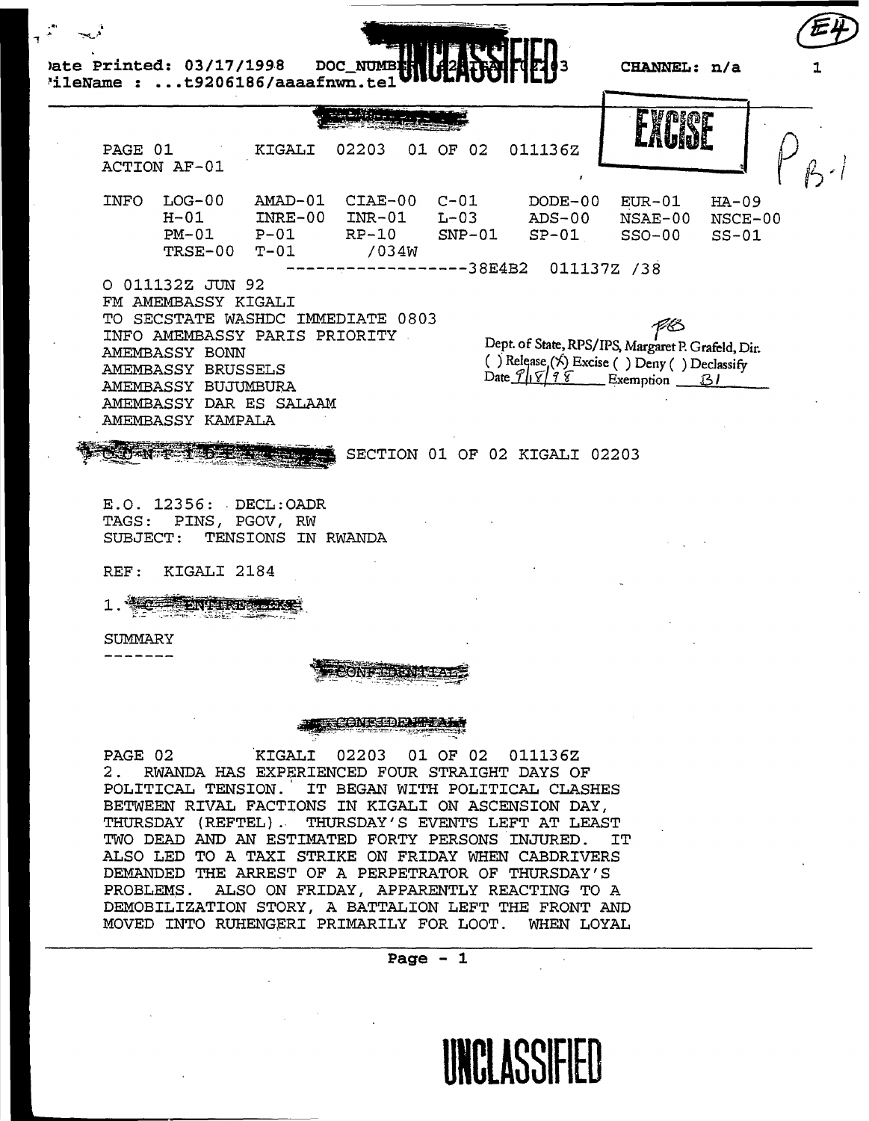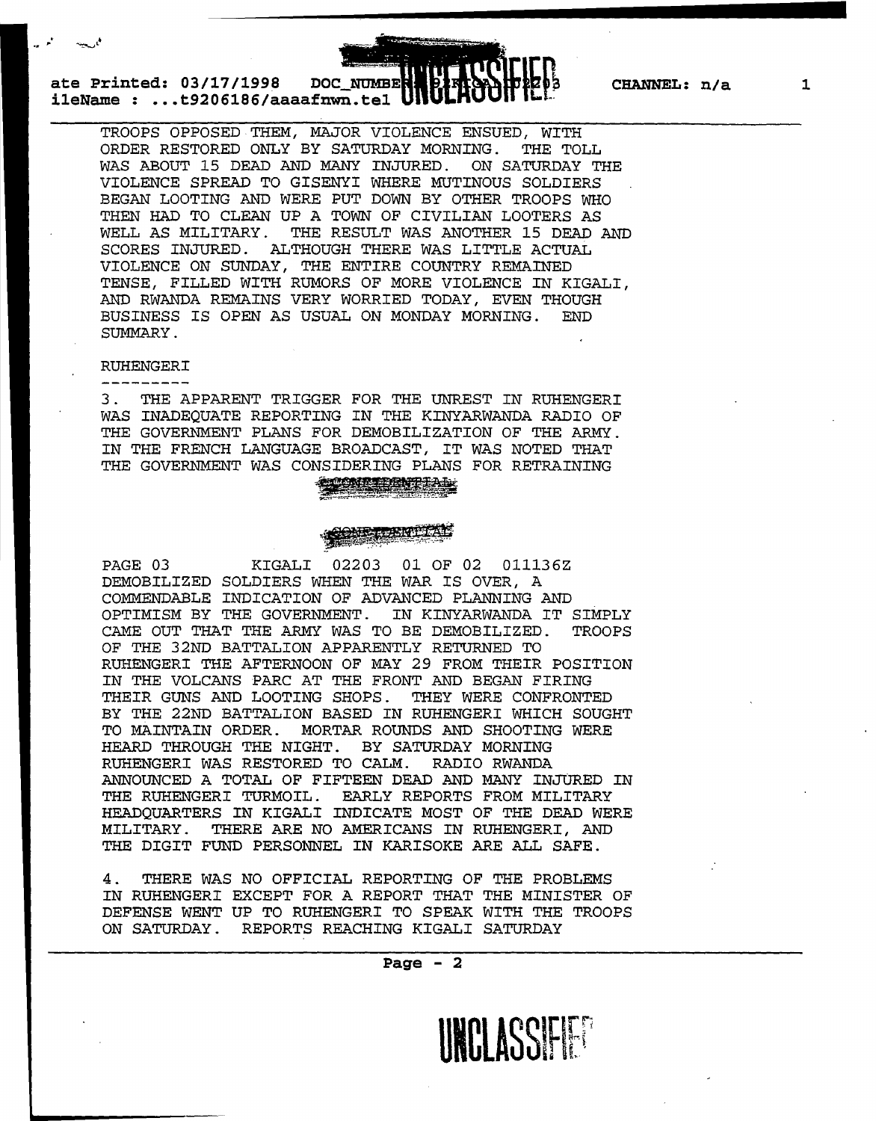**1** 

**ate Printed: 03/17/1998 DOC NUMBER BIRROAL DIZES CHANNEL: n/a i1eName : ... t9206186/aaaafnwn.tel** 

TROOPS OPPOSED THEM, MAJOR VIOLENCE ENSUED, WITH ORDER RESTORED ONLY BY SATURDAY MORNING. THE TOLL WAS ABOUT 15 DEAD AND MANY INJURED. ON SATURDAY THE VIOLENCE SPREAD TO GISENYI WHERE MUTINOUS SOLDIERS BEGAN LOOTING AND WERE PUT DOWN BY OTHER TROOPS WHO THEN HAD TO CLEAN UP A TOWN OF CIVILIAN LOOTERS AS WELL AS MILITARY. THE RESULT WAS ANOTHER 15 DEAD THE RESULT WAS ANOTHER 15 DEAD AND SCORES INJURED. ALTHOUGH THERE WAS LITTLE ACTUAL VIOLENCE ON SUNDAY, THE ENTIRE COUNTRY REMAINED TENSE, FILLED WITH RUMORS OF MORE VIOLENCE IN KIGALI, AND RWANDA REMAINS VERY WORRIED TODAY, EVEN THOUGH BUSINESS IS OPEN AS USUAL ON MONDAY MORNING. END SUMMARY.

\_\_\_\_\_\_\_\_\_\_\_\_\_\_\_\_\_\_\_\_\_\_ ........... . .. <sup>~</sup>

## RUHENGERI

3 . THE APPARENT TRIGGER FOR THE UNREST IN RUHENGERI WAS INADEQUATE REPORTING IN THE KINYARWANDA RADIO OF THE GOVERNMENT PLANS FOR DEMOBILIZATION OF THE ARMY. IN THE FRENCH LANGUAGE BROADCAST, IT WAS NOTED THAT THE GOVERNMENT WAS CONSIDERING PLANS FOR RETRAINING

# MES REEKTE FAL

PAGE 03 KIGALI 02203 01 OF 02 011136Z DEMOBILIZED SOLDIERS WHEN THE WAR IS OVER, A COMMENDABLE INDICATION OF ADVANCED PLANNING AND OPTIMISM BY THE GOVERNMENT. IN KINYARWANDA IT SIMPLY CAME OUT THAT THE ARMY WAS TO BE DEMOBILIZED. TROOPS OF THE 32ND BATTALION APPARENTLY RETURNED TO RUHENGERI THE AFTERNOON OF MAY 29 FROM THEIR POSITION IN THE VOLCANS PARC AT THE FRONT AND BEGAN FIRING THEIR GUNS AND LOOTING SHOPS. THEY WERE CONFRONTED BY THE 22ND BATTALION BASED IN RUHENGERI WHICH SOUGHT<br>TO MAINTAIN ORDER. MORTAR ROUNDS AND SHOOTING WERE MORTAR ROUNDS AND SHOOTING WERE HEARD THROUGH THE NIGHT. BY SATURDAY MORNING RUHENGERI WAS RESTORED TO CALM. RADIO RWANDA ANNOUNCED A TOTAL OF FIFTEEN DEAD AND MANY INJURED IN THE RUHENGERI TURMOIL. EARLY REPORTS FROM MILITARY HEADQUARTERS IN KIGALI INDICATE MOST OF THE DEAD WERE MILITARY. THERE ARE NO AMERICANS IN RUHENGERI, AND THE DIGIT FUND PERSONNEL IN KARISOKE ARE ALL SAFE.

4 . THERE WAS NO OFFICIAL REPORTING OF THE PROBLEMS IN RUHENGERI EXCEPT FOR A REPORT THAT THE MINISTER OF DEFENSE WENT UP TO RUHENGERI TO SPEAK WITH THE TROOPS ON SATURDAY. REPORTS REACHING KIGALI SATURDAY

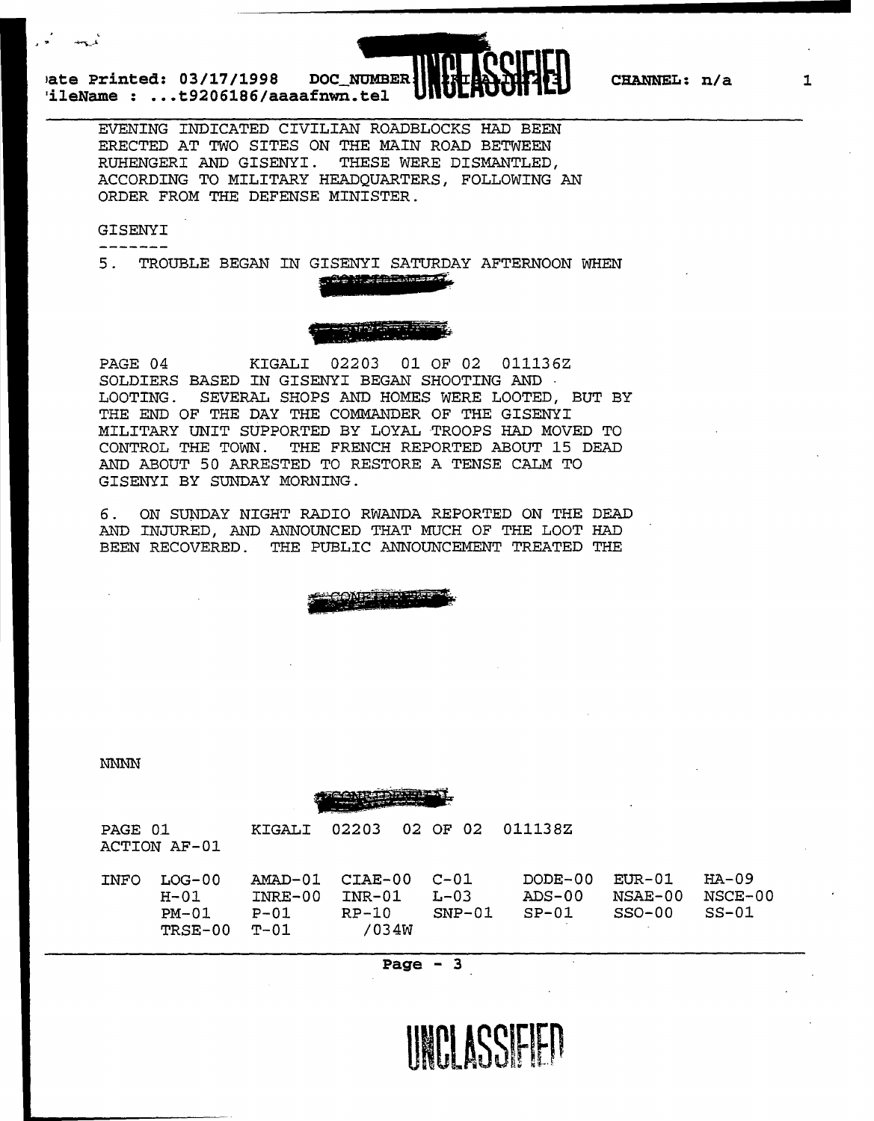**1ate Printed: 03/17/1998 DOC NUMBER 'ileName : .•. t9206186/aaaafnwn.tel** 



**1** 

EVENING INDICATED CIVILIAN ROADBLOCKS HAD BEEN ERECTED AT TWO SITES ON THE MAIN ROAD BETWEEN<br>RUHENGERI AND GISENYI. THESE WERE DISMANTLED, RUHENGERI AND GISENYI. ACCORDING TO MILITARY HEADQUARTERS, FOLLOWING AN ORDER FROM THE DEFENSE MINISTER.

### GISENYI

 $\frac{1}{2} \frac{1}{2} \frac{1}{2} \frac{1}{2} \frac{1}{2} \frac{1}{2} \frac{1}{2} \frac{1}{2} \frac{1}{2} \frac{1}{2} \frac{1}{2} \frac{1}{2} \frac{1}{2} \frac{1}{2} \frac{1}{2} \frac{1}{2} \frac{1}{2} \frac{1}{2} \frac{1}{2} \frac{1}{2} \frac{1}{2} \frac{1}{2} \frac{1}{2} \frac{1}{2} \frac{1}{2} \frac{1}{2} \frac{1}{2} \frac{1}{2} \frac{1}{2} \frac{1}{2} \frac{1}{2} \frac{$ 

5. TROUBLE BEGAN IN GISENYI SATURDAY AFTERNOON WHEN

\_\_ :... . ...:::: "'r""'2! ~~~ .. -~.-: \_::::-- <sup>=</sup> . -.:: ... , . . . " - ~.

PAGE 04 KIGALI 02203 01 OF 02 011136Z SOLDIERS BASED IN GISENYI BEGAN SHOOTING AND · LOOTING. SEVERAL SHOPS AND HOMES WERE LOOTED, BUT BY THE END OF THE DAY THE COMMANDER OF THE GISENYI MILITARY UNIT SUPPORTED BY LOYAL TROOPS HAD MOVED TO CONTROL THE TOWN. THE FRENCH REPORTED ABOUT 15 DEAD AND ABOUT 50 ARRESTED TO RESTORE A TENSE CALM TO GISENYI BY SUNDAY MORNING.

6. ON SUNDAY NIGHT RADIO RWANDA REPORTED ON THE DEAD AND INJURED, AND ANNOUNCED THAT MUCH OF THE LOOT HAD BEEN RECOVERED. THE PUBLIC ANNOUNCEMENT TREATED THE

~~~~ ~-~f:-~oz--:=~~~.:.·~r:!?" . . .... - ... -

NNNN



| PAGE 01<br>ACTION AF-01 |                                        | KIGALI                               | 02203                                   | - 02<br>02 OF                    | 011138Z                      |                                   |                                 |
|-------------------------|----------------------------------------|--------------------------------------|-----------------------------------------|----------------------------------|------------------------------|-----------------------------------|---------------------------------|
| INFO                    | LOG-00<br>$H-01$<br>$PM-01$<br>TRSE-00 | AMAD-01<br>INRE-00<br>$P-01$<br>ጥ–01 | CTAE-00<br>$INR-01$<br>$RP-10$<br>/034W | $C - 01$<br>$L - 03$<br>$SNP-01$ | DODE-00<br>ADS-00<br>$SP-01$ | $EIR - 01$<br>NSAE-00<br>$SSO-00$ | $HA-09$<br>$NGCE-00$<br>$SS-01$ |

**IINGI ASSEIEN**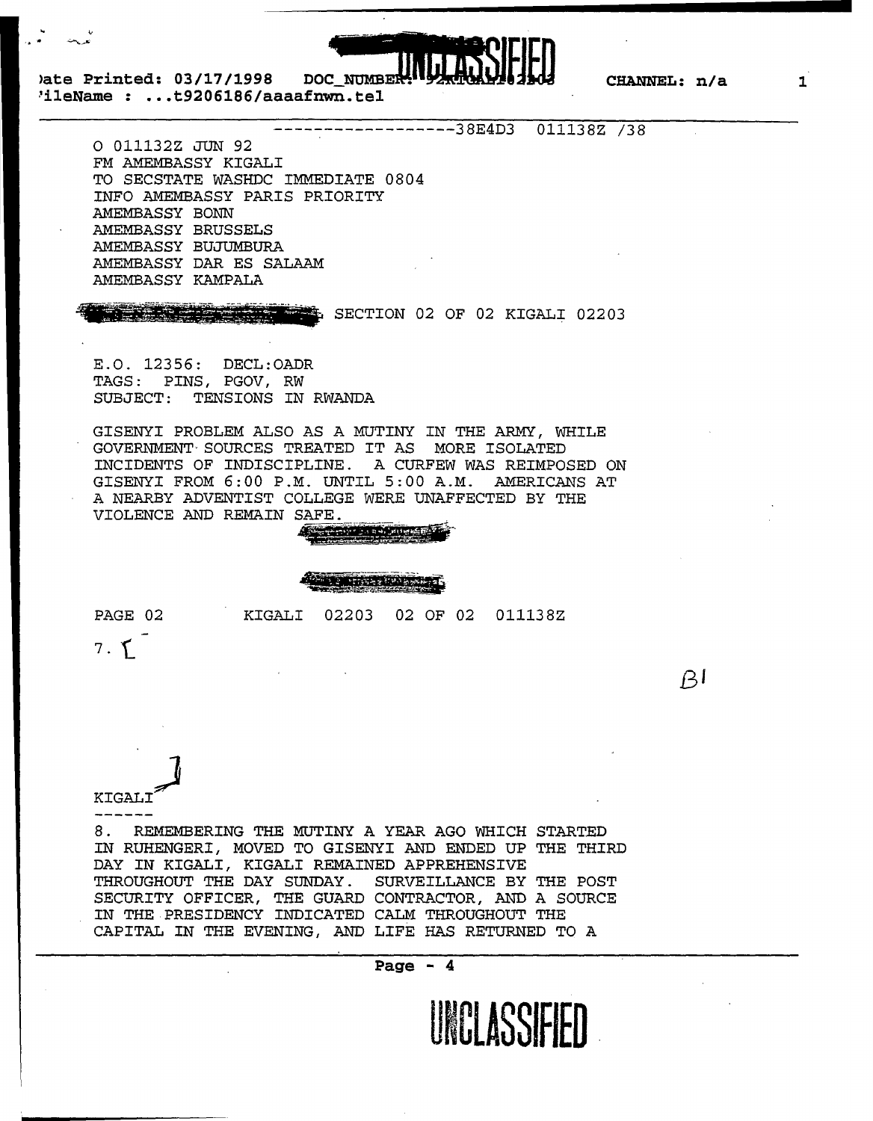

**>ate Printed: 03/17/1998 DOC 'ileName : ... t9206186/aaaafnwn.tel** 

------------------38E4D3 011138Z /38

0 011132Z JUN 92 FM AMEMBASSY KIGALI TO SECSTATE WASHDC IMMEDIATE 0804 INFO AMEMBASSY PARIS PRIORITY AMEMBASSY BONN AMEMBASSY BRUSSELS AMEMBASSY BUJUMBURA AMEMBASSY DAR ES SALAAM AMEMBASSY KAMPALA

SECTION 02 OF 02 KIGALI 02203

E.O. 12356: DECL:OADR TAGS: PINS, PGOV, RW SUBJECT: TENSIONS IN RWANDA

GISENYI PROBLEM ALSO AS A MUTINY IN THE ARMY, WHILE GOVERNMENT"SOURCES TREATED IT AS MORE ISOLATED INCIDENTS OF INDISCIPLINE. A CURFEW WAS REIMPOSED ON GISENYI FROM 6:00 P.M. UNTIL 5:00 A.M. AMERICANS AT A NEARBY ADVENTIST COLLEGE WERE UNAFFECTED BY THE VIOLENCE AND REMAIN SAFE.

!}!I!

PAGE 02 KIGALI 02203 02 OF 02 011138Z

7. f.

 $\beta$ 

**KIGALI** 

8. REMEMBERING THE MUTINY A YEAR AGO WHICH STARTED IN RUHENGERI, MOVED TO GISENYI AND ENDED UP THE THIRD DAY IN KIGALI, KIGALI REMAINED APPREHENSIVE THROUGHOUT THE DAY SUNDAY. SURVEILLANCE BY THE POST SECURITY OFFICER, THE GUARD CONTRACTOR, AND A SOURCE IN THE PRESIDENCY INDICATED CALM THROUGHOUT THE CAPITAL IN THE EVENING, AND LIFE HAS RETURNED TO A



**1**